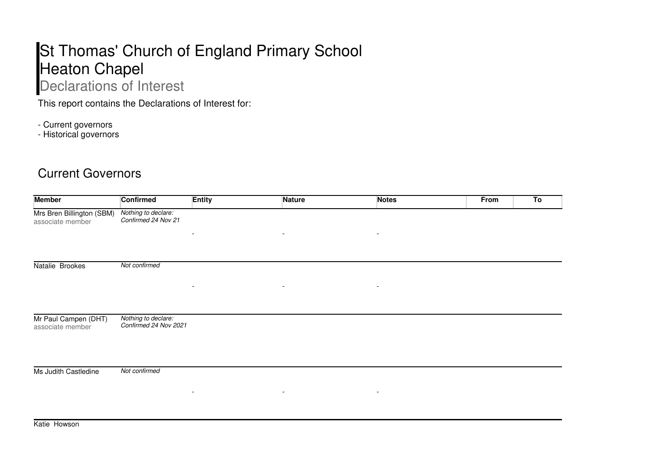## St Thomas' Church of England Primary School Heaton Chapel

## Declarations of Interest

This report contains the Declarations of Interest for:

- Current governors

- Historical governors

## Current Governors

| <b>Member</b>                                 | <b>Confirmed</b>                             | <b>Entity</b>            | <b>Nature</b>            | <b>Notes</b>             | From | To |
|-----------------------------------------------|----------------------------------------------|--------------------------|--------------------------|--------------------------|------|----|
| Mrs Bren Billington (SBM)<br>associate member | Nothing to declare:<br>Confirmed 24 Nov 21   |                          |                          |                          |      |    |
|                                               |                                              | $\overline{\phantom{a}}$ | $\overline{\phantom{a}}$ | $\overline{\phantom{a}}$ |      |    |
| Natalie Brookes                               | Not confirmed                                |                          |                          |                          |      |    |
|                                               |                                              | $\overline{\phantom{a}}$ | $\overline{\phantom{a}}$ | $\overline{\phantom{a}}$ |      |    |
| Mr Paul Campen (DHT)<br>associate member      | Nothing to declare:<br>Confirmed 24 Nov 2021 |                          |                          |                          |      |    |
| Ms Judith Castledine                          | Not confirmed                                |                          |                          |                          |      |    |
|                                               |                                              | $\overline{\phantom{a}}$ | $\overline{\phantom{a}}$ | $\overline{\phantom{a}}$ |      |    |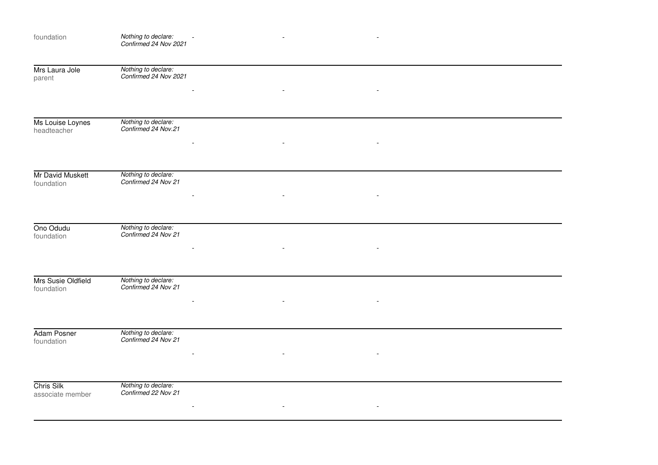| foundation                       | Nothing to declare:<br>Confirmed 24 Nov 2021 |  | $\blacksquare$ |  |
|----------------------------------|----------------------------------------------|--|----------------|--|
| Mrs Laura Jole<br>parent         | Nothing to declare:<br>Confirmed 24 Nov 2021 |  |                |  |
|                                  |                                              |  |                |  |
| Ms Louise Loynes<br>headteacher  | Nothing to declare:<br>Confirmed 24 Nov.21   |  |                |  |
|                                  |                                              |  |                |  |
| Mr David Muskett<br>foundation   | Nothing to declare:<br>Confirmed 24 Nov 21   |  |                |  |
|                                  |                                              |  |                |  |
| Ono Odudu<br>foundation          | Nothing to declare:<br>Confirmed 24 Nov 21   |  |                |  |
|                                  |                                              |  |                |  |
| Mrs Susie Oldfield<br>foundation | Nothing to declare:<br>Confirmed 24 Nov 21   |  |                |  |
|                                  |                                              |  |                |  |
| Adam Posner<br>foundation        | Nothing to declare:<br>Confirmed 24 Nov 21   |  |                |  |
|                                  |                                              |  |                |  |
| Chris Silk<br>associate member   | Nothing to declare:<br>Confirmed 22 Nov 21   |  |                |  |
|                                  |                                              |  |                |  |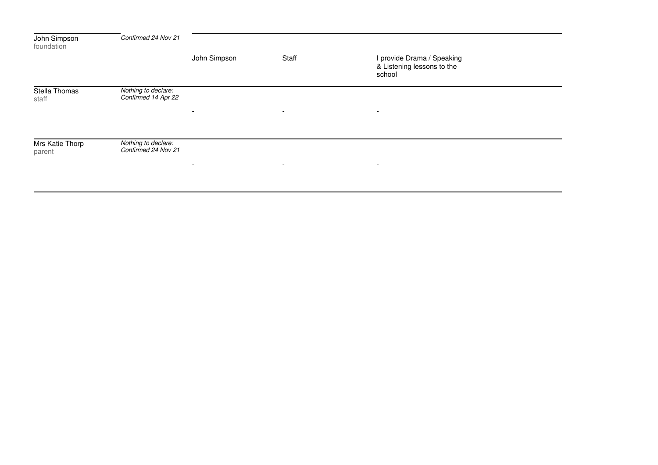| John Simpson<br>foundation | Confirmed 24 Nov 21                        |                          |                          |                                                                    |  |
|----------------------------|--------------------------------------------|--------------------------|--------------------------|--------------------------------------------------------------------|--|
|                            |                                            | John Simpson             | Staff                    | I provide Drama / Speaking<br>& Listening lessons to the<br>school |  |
| Stella Thomas<br>staff     | Nothing to declare:<br>Confirmed 14 Apr 22 | $\overline{\phantom{a}}$ | $\sim$                   | $\overline{\phantom{a}}$                                           |  |
| Mrs Katie Thorp<br>parent  | Nothing to declare:<br>Confirmed 24 Nov 21 | $\overline{\phantom{0}}$ | $\overline{\phantom{a}}$ | $\overline{\phantom{0}}$                                           |  |